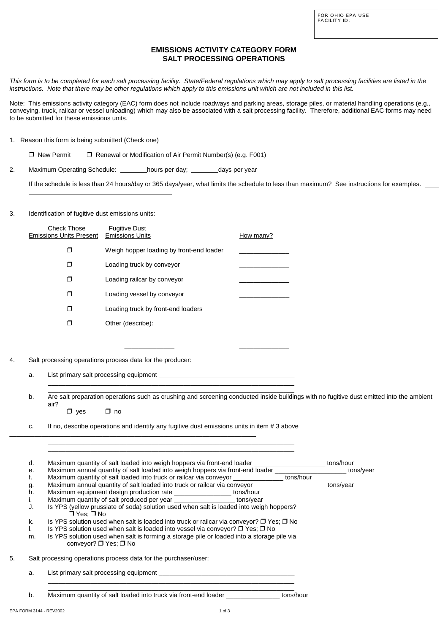| FOR OHIO EPA USE |  |
|------------------|--|
| FACILITY ID:     |  |

L

# **EMISSIONS ACTIVITY CATEGORY FORM SALT PROCESSING OPERATIONS**

*This form is to be completed for each salt processing facility. State/Federal regulations which may apply to salt processing facilities are listed in the instructions. Note that there may be other regulations which apply to this emissions unit which are not included in this list.*

Note: This emissions activity category (EAC) form does not include roadways and parking areas, storage piles, or material handling operations (e.g., conveying, truck, railcar or vessel unloading) which may also be associated with a salt processing facility. Therefore, additional EAC forms may need to be submitted for these emissions units.

| <b>Check Those</b><br><b>Emissions Units Present</b> | <b>Fugitive Dust</b><br><b>Emissions Units</b> | How many? |
|------------------------------------------------------|------------------------------------------------|-----------|
|                                                      | Weigh hopper loading by front-end loader       |           |
|                                                      |                                                |           |
|                                                      | Loading truck by conveyor                      |           |
|                                                      | Loading railcar by conveyor                    |           |
|                                                      | Loading vessel by conveyor                     |           |
|                                                      | Loading truck by front-end loaders             |           |
|                                                      | Other (describe):                              |           |
|                                                      |                                                |           |
|                                                      |                                                |           |

1. Reason this form is being submitted (Check one)

□ New Permit □ Renewal or Modification of Air Permit Number(s) (e.g. F001)

2. Maximum Operating Schedule: hours per day; days per year

c. If no, describe operations and identify any fugitive dust emissions units in item # 3 above  $\overline{\phantom{a}}$  , and the contribution of the contribution of  $\overline{\phantom{a}}$  , and the contribution of  $\overline{\phantom{a}}$ 

If the schedule is less than 24 hours/day or 365 days/year, what limits the schedule to less than maximum? See instructions for examples.

## 3. Identification of fugitive dust emissions units:

 $\overline{a}$ 

# 4. Salt processing operations process data for the producer:

a. List primary salt processing equipment \_\_\_\_\_\_\_\_\_\_\_\_\_\_\_\_\_\_\_\_\_\_\_\_\_\_\_\_\_\_\_\_\_\_\_\_\_\_ \_\_\_\_\_\_\_\_\_\_\_\_\_\_\_\_\_\_\_\_\_\_\_\_\_\_\_\_\_\_\_\_\_\_\_\_\_\_\_\_\_\_\_\_\_\_\_\_\_\_\_\_\_\_\_\_\_\_\_\_\_\_\_\_\_\_\_\_\_

\_\_\_\_\_\_\_\_\_\_\_\_\_\_\_\_\_\_\_\_\_\_\_\_\_\_\_\_\_\_\_\_\_\_\_\_\_\_\_\_\_\_\_\_\_\_\_\_\_\_\_\_\_\_\_\_\_\_\_\_\_\_\_\_\_\_\_\_\_ b. Are salt preparation operations such as crushing and screening conducted inside buildings with no fugitive dust emitted into the ambient air?

| $\Box$ yes | $\square$ no |
|------------|--------------|
|            |              |

\_\_\_\_\_\_\_\_\_\_\_\_\_\_\_\_\_\_\_\_\_\_\_\_\_\_\_\_\_\_\_\_\_\_\_\_\_\_\_\_\_\_\_\_\_\_\_\_\_\_\_\_\_\_\_\_\_\_\_\_\_\_\_\_\_\_\_\_\_ \_\_\_\_\_\_\_\_\_\_\_\_\_\_\_\_\_\_\_\_\_\_\_\_\_\_\_\_\_\_\_\_\_\_\_\_\_\_\_\_\_\_\_\_\_\_\_\_\_\_\_\_\_\_\_\_\_\_\_\_\_\_\_\_\_\_\_\_\_

d. Maximum quantity of salt loaded into weigh hoppers via front-end loader \_\_\_\_\_\_\_\_\_\_\_\_\_\_\_\_\_\_\_\_\_\_\_\_ tons/hour

e. Maximum annual quantity of salt loaded into weigh hoppers via front-end loader \_\_\_\_\_\_\_\_\_\_\_\_\_\_\_\_\_\_\_\_\_\_\_ tons/year

- f. Maximum quantity of salt loaded into truck or railcar via conveyor \_\_\_\_\_\_\_\_\_\_\_\_\_\_ tons/hour
- g. Maximum annual quantity of salt loaded into truck or railcar via conveyor \_\_\_\_\_\_\_\_\_\_\_\_\_\_\_\_\_\_\_\_\_\_\_ tons/year
- h. Maximum equipment design production rate \_\_\_\_\_\_\_\_\_\_\_\_\_\_\_\_\_\_ tons/hour
- i. Maximum quantity of salt produced per year example tons/year
- J. Is YPS (yellow prussiate of soda) solution used when salt is loaded into weigh hoppers?  $\Box$  Yes;  $\Box$  No
- k. Is YPS solution used when salt is loaded into truck or railcar via conveyor?  $\Box$  Yes;  $\Box$  No
- I. Is YPS solution used when salt is loaded into vessel via conveyor?  $\Box$  Yes;  $\Box$  No
- m. Is YPS solution used when salt is forming a storage pile or loaded into a storage pile via conveyor?  $\Box$  Yes;  $\Box$  No
- 5. Salt processing operations process data for the purchaser/user:

a. List primary salt processing equipment \_\_\_\_\_\_\_\_\_\_\_\_\_\_\_\_\_\_\_\_\_\_\_\_\_\_\_\_\_\_\_\_\_\_\_\_\_\_

b. Maximum quantity of salt loaded into truck via front-end loader \_\_\_\_\_\_\_\_\_\_\_\_\_\_\_ tons/hour

\_\_\_\_\_\_\_\_\_\_\_\_\_\_\_\_\_\_\_\_\_\_\_\_\_\_\_\_\_\_\_\_\_\_\_\_\_\_\_\_\_\_\_\_\_\_\_\_\_\_\_\_\_\_\_\_\_\_\_\_\_\_\_\_\_\_\_\_\_ \_\_\_\_\_\_\_\_\_\_\_\_\_\_\_\_\_\_\_\_\_\_\_\_\_\_\_\_\_\_\_\_\_\_\_\_\_\_\_\_\_\_\_\_\_\_\_\_\_\_\_\_\_\_\_\_\_\_\_\_\_\_\_\_\_\_\_\_\_

EPA FORM 3144 - REV2002 2000 1 of 3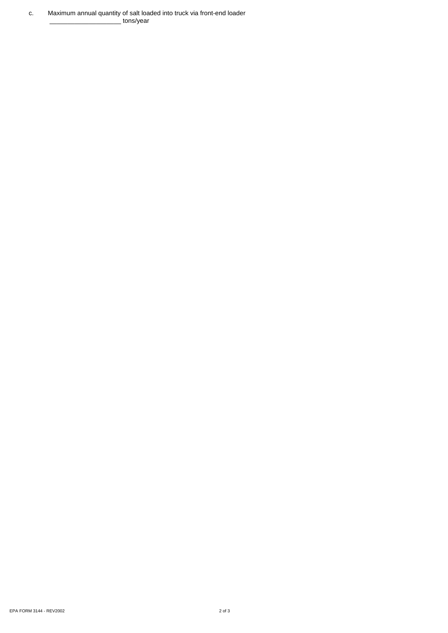c. Maximum annual quantity of salt loaded into truck via front-end loader \_\_\_\_\_\_\_\_\_\_\_\_\_\_\_\_\_\_\_\_ tons/year

EPA FORM 3144 - REV2002 2 of 3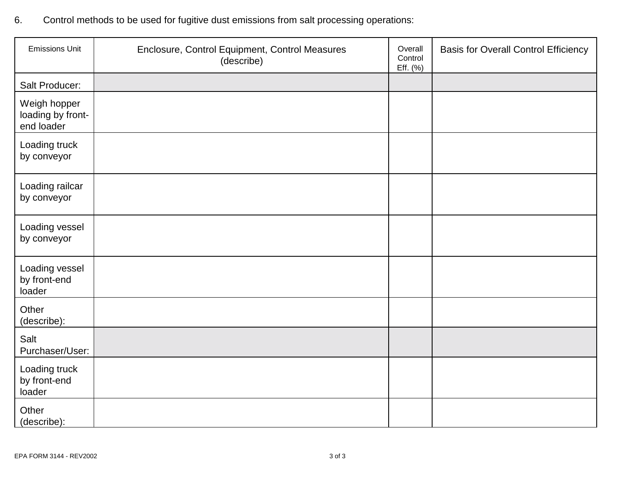6. Control methods to be used for fugitive dust emissions from salt processing operations:

| <b>Emissions Unit</b>                           | Enclosure, Control Equipment, Control Measures<br>(describe) | Overall<br>Control<br>Eff. (%) | <b>Basis for Overall Control Efficiency</b> |
|-------------------------------------------------|--------------------------------------------------------------|--------------------------------|---------------------------------------------|
| Salt Producer:                                  |                                                              |                                |                                             |
| Weigh hopper<br>loading by front-<br>end loader |                                                              |                                |                                             |
| Loading truck<br>by conveyor                    |                                                              |                                |                                             |
| Loading railcar<br>by conveyor                  |                                                              |                                |                                             |
| Loading vessel<br>by conveyor                   |                                                              |                                |                                             |
| Loading vessel<br>by front-end<br>loader        |                                                              |                                |                                             |
| Other<br>(describe):                            |                                                              |                                |                                             |
| Salt<br>Purchaser/User:                         |                                                              |                                |                                             |
| Loading truck<br>by front-end<br>loader         |                                                              |                                |                                             |
| Other<br>(describe):                            |                                                              |                                |                                             |